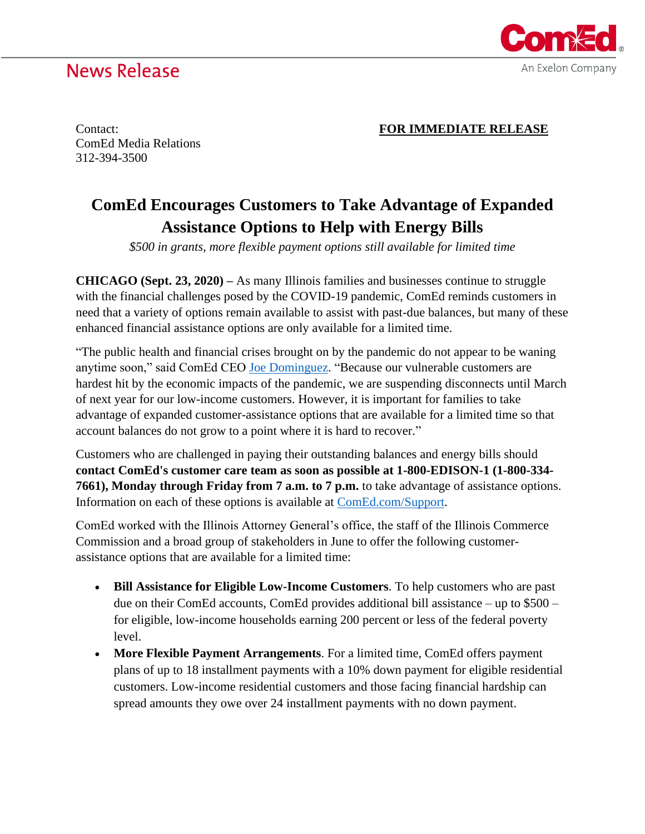## **News Release**



Contact: **FOR IMMEDIATE RELEASE**

ComEd Media Relations 312-394-3500

## **ComEd Encourages Customers to Take Advantage of Expanded Assistance Options to Help with Energy Bills**

*\$500 in grants, more flexible payment options still available for limited time*

**CHICAGO (Sept. 23, 2020) –** As many Illinois families and businesses continue to struggle with the financial challenges posed by the COVID-19 pandemic, ComEd reminds customers in need that a variety of options remain available to assist with past-due balances, but many of these enhanced financial assistance options are only available for a limited time.

"The public health and financial crises brought on by the pandemic do not appear to be waning anytime soon," said ComEd CEO [Joe Dominguez.](https://www.comed.com/AboutUs/Pages/LeadershipValues.aspx) "Because our vulnerable customers are hardest hit by the economic impacts of the pandemic, we are suspending disconnects until March of next year for our low-income customers. However, it is important for families to take advantage of expanded customer-assistance options that are available for a limited time so that account balances do not grow to a point where it is hard to recover."

Customers who are challenged in paying their outstanding balances and energy bills should **contact ComEd's customer care team as soon as possible at 1-800-EDISON-1 (1-800-334- 7661), Monday through Friday from 7 a.m. to 7 p.m.** to take advantage of assistance options. Information on each of these options is available at [ComEd.com/Support.](https://www.comed.com/News/Pages/supportingourcommunities.aspx?utm_source=vanityurl&utm_medium=webpage&utm_campaign=covid19adv&utm_content=apr20)

ComEd worked with the Illinois Attorney General's office, the staff of the Illinois Commerce Commission and a broad group of stakeholders in June to offer the following customerassistance options that are available for a limited time:

- **Bill Assistance for Eligible Low-Income Customers**. To help customers who are past due on their ComEd accounts, ComEd provides additional bill assistance – up to \$500 – for eligible, low-income households earning 200 percent or less of the federal poverty level.
- **More Flexible Payment Arrangements**. For a limited time, ComEd offers payment plans of up to 18 installment payments with a 10% down payment for eligible residential customers. Low-income residential customers and those facing financial hardship can spread amounts they owe over 24 installment payments with no down payment.